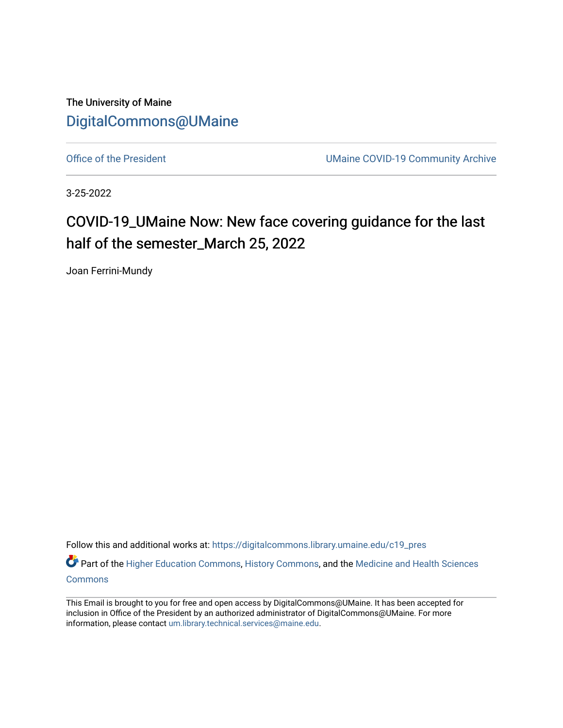The University of Maine [DigitalCommons@UMaine](https://digitalcommons.library.umaine.edu/)

[Office of the President](https://digitalcommons.library.umaine.edu/c19_pres) **UMaine COVID-19 Community Archive** 

3-25-2022

## COVID-19\_UMaine Now: New face covering guidance for the last half of the semester\_March 25, 2022

Joan Ferrini-Mundy

Follow this and additional works at: [https://digitalcommons.library.umaine.edu/c19\\_pres](https://digitalcommons.library.umaine.edu/c19_pres?utm_source=digitalcommons.library.umaine.edu%2Fc19_pres%2F130&utm_medium=PDF&utm_campaign=PDFCoverPages) 

Part of the [Higher Education Commons,](http://network.bepress.com/hgg/discipline/1245?utm_source=digitalcommons.library.umaine.edu%2Fc19_pres%2F130&utm_medium=PDF&utm_campaign=PDFCoverPages) [History Commons,](http://network.bepress.com/hgg/discipline/489?utm_source=digitalcommons.library.umaine.edu%2Fc19_pres%2F130&utm_medium=PDF&utm_campaign=PDFCoverPages) and the Medicine and Health Sciences **[Commons](http://network.bepress.com/hgg/discipline/648?utm_source=digitalcommons.library.umaine.edu%2Fc19_pres%2F130&utm_medium=PDF&utm_campaign=PDFCoverPages)** 

This Email is brought to you for free and open access by DigitalCommons@UMaine. It has been accepted for inclusion in Office of the President by an authorized administrator of DigitalCommons@UMaine. For more information, please contact [um.library.technical.services@maine.edu](mailto:um.library.technical.services@maine.edu).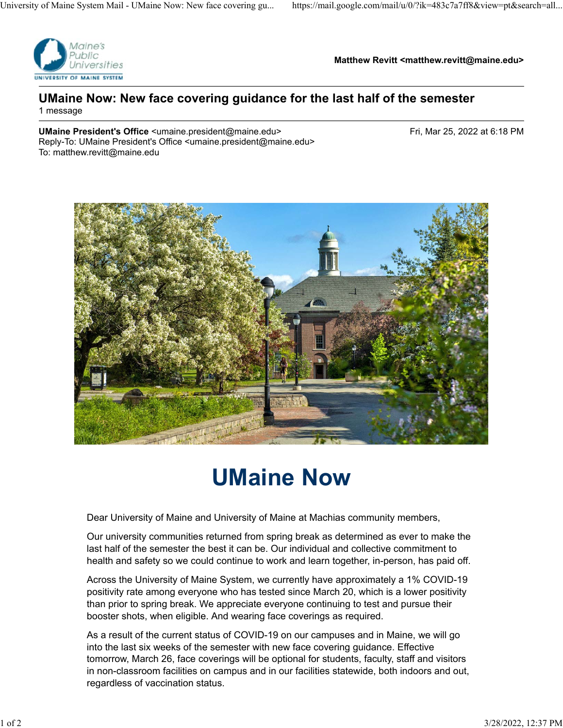

**Matthew Revitt <matthew.revitt@maine.edu>**

## **UMaine Now: New face covering guidance for the last half of the semester** 1 message

**UMaine President's Office** <umaine.president@maine.edu> Fri, Mar 25, 2022 at 6:18 PM Reply-To: UMaine President's Office <umaine.president@maine.edu> To: matthew.revitt@maine.edu



## **UMaine Now**

Dear University of Maine and University of Maine at Machias community members,

Our university communities returned from spring break as determined as ever to make the last half of the semester the best it can be. Our individual and collective commitment to health and safety so we could continue to work and learn together, in-person, has paid off.

Across the University of Maine System, we currently have approximately a 1% COVID-19 positivity rate among everyone who has tested since March 20, which is a lower positivity than prior to spring break. We appreciate everyone continuing to test and pursue their booster shots, when eligible. And wearing face coverings as required.

As a result of the current status of COVID-19 on our campuses and in Maine, we will go into the last six weeks of the semester with new face covering guidance. Effective tomorrow, March 26, face coverings will be optional for students, faculty, staff and visitors in non-classroom facilities on campus and in our facilities statewide, both indoors and out, regardless of vaccination status.